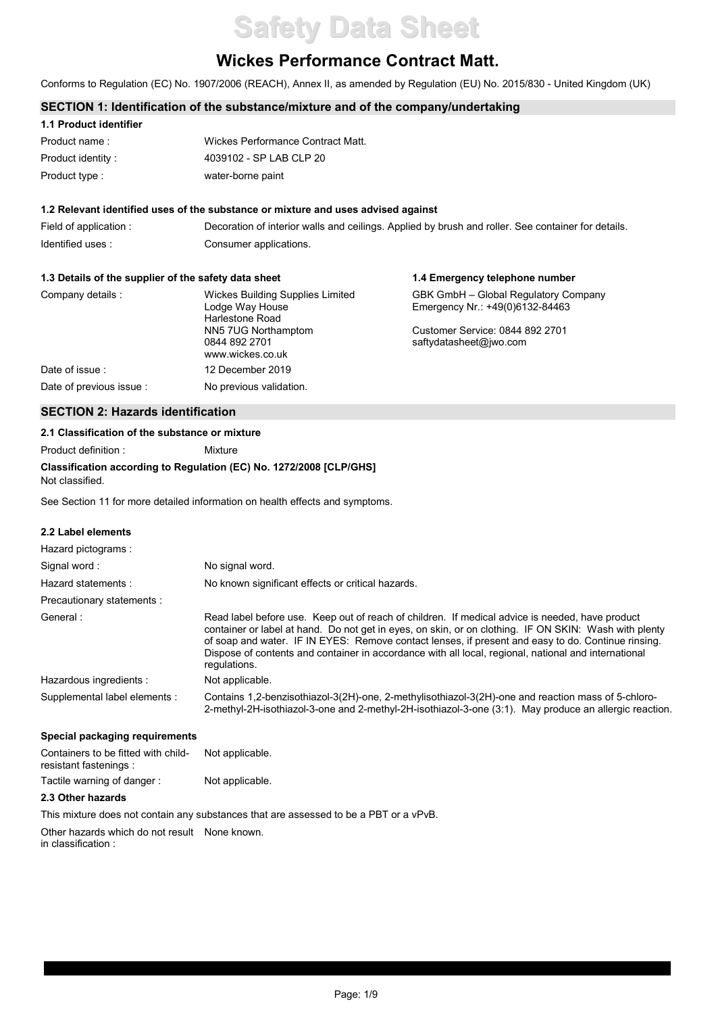# **Safety Data Sheet**

# **Wickes Performance Contract Matt.**

Conforms to Regulation (EC) No. 1907/2006 (REACH), Annex II, as amended by Regulation (EU) No. 2015/830 - United Kingdom (UK)

# **SECTION 1: Identification of the substance/mixture and of the company/undertaking**

| 1.1 Product identifier |                                   |
|------------------------|-----------------------------------|
| Product name:          | Wickes Performance Contract Matt. |
| Product identity:      | 4039102 - SP LAB CLP 20           |
| Product type :         | water-borne paint                 |

#### **1.2 Relevant identified uses of the substance or mixture and uses advised against**

Field of application : Decoration of interior walls and ceilings. Applied by brush and roller. See container for details. Identified uses : Consumer applications.

#### **1.3 Details of the supplier of the safety data sheet**

| 1.3 Details of the supplier of the safety data sheet |                                                                        | 1.4 Emergency telephone number                                          |  |
|------------------------------------------------------|------------------------------------------------------------------------|-------------------------------------------------------------------------|--|
| Company details :                                    | Wickes Building Supplies Limited<br>Lodge Way House<br>Harlestone Road | GBK GmbH - Global Regulatory Company<br>Emergency Nr.: +49(0)6132-84463 |  |
|                                                      | NN5 7UG Northamptom<br>0844 892 2701<br>www.wickes.co.uk               | Customer Service: 0844 892 2701<br>saftydatasheet@iwo.com               |  |
| Date of issue:                                       | 12 December 2019                                                       |                                                                         |  |
| Date of previous issue :                             | No previous validation.                                                |                                                                         |  |

# **SECTION 2: Hazards identification**

## **2.1 Classification of the substance or mixture**

Product definition : Mixture

#### **Classification according to Regulation (EC) No. 1272/2008 [CLP/GHS]** Not classified.

See Section 11 for more detailed information on health effects and symptoms.

### **2.2 Label elements**

| Hazard pictograms:            |                                                                                                                                                                                                                                                                                                                                                                                                                                        |
|-------------------------------|----------------------------------------------------------------------------------------------------------------------------------------------------------------------------------------------------------------------------------------------------------------------------------------------------------------------------------------------------------------------------------------------------------------------------------------|
| Signal word:                  | No signal word.                                                                                                                                                                                                                                                                                                                                                                                                                        |
| Hazard statements:            | No known significant effects or critical hazards.                                                                                                                                                                                                                                                                                                                                                                                      |
| Precautionary statements :    |                                                                                                                                                                                                                                                                                                                                                                                                                                        |
| General:                      | Read label before use. Keep out of reach of children. If medical advice is needed, have product<br>container or label at hand. Do not get in eyes, on skin, or on clothing. IF ON SKIN: Wash with plenty<br>of soap and water. IF IN EYES: Remove contact lenses, if present and easy to do. Continue rinsing.<br>Dispose of contents and container in accordance with all local, regional, national and international<br>regulations. |
| Hazardous ingredients :       | Not applicable.                                                                                                                                                                                                                                                                                                                                                                                                                        |
| Supplemental label elements : | Contains 1.2-benzisothiazol-3(2H)-one, 2-methylisothiazol-3(2H)-one and reaction mass of 5-chloro-<br>2-methyl-2H-isothiazol-3-one and 2-methyl-2H-isothiazol-3-one (3:1). May produce an allergic reaction.                                                                                                                                                                                                                           |

# **Special packaging requirements**

| Containers to be fitted with child-<br>resistant fastenings : | Not applicable. |  |
|---------------------------------------------------------------|-----------------|--|
| Tactile warning of danger:                                    | Not applicable. |  |

# **2.3 Other hazards**

This mixture does not contain any substances that are assessed to be a PBT or a vPvB.

Other hazards which do not result None known. in classification :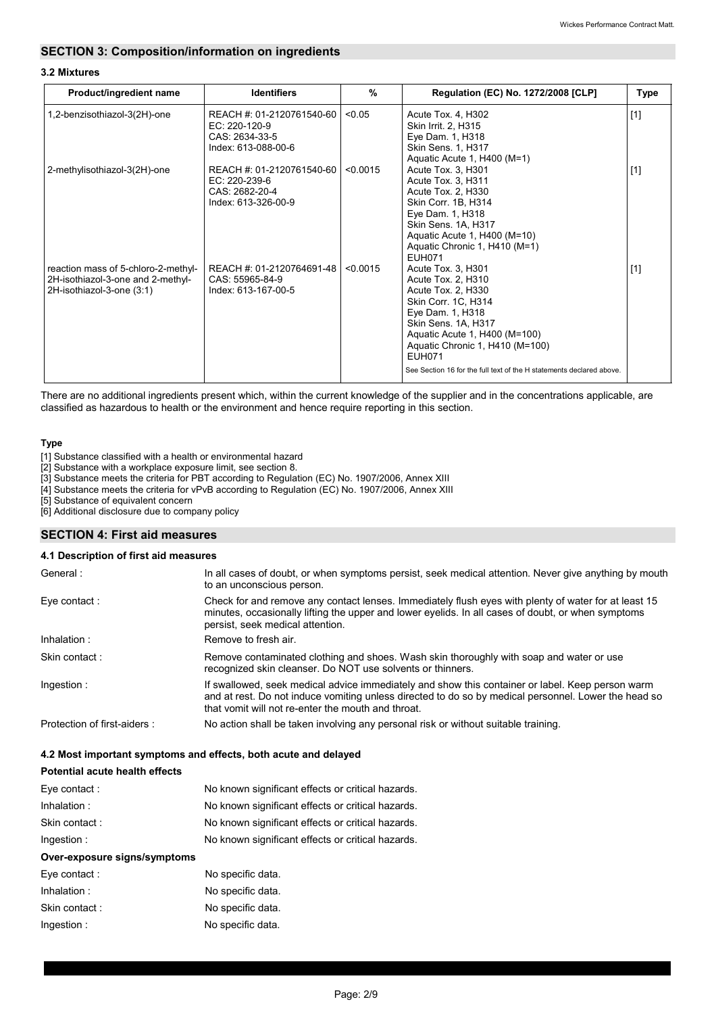# **SECTION 3: Composition/information on ingredients**

# **3.2 Mixtures**

| Product/ingredient name                                                                               | <b>Identifiers</b>                                                                    | %        | Regulation (EC) No. 1272/2008 [CLP]                                                                                                                                                                                                                                                           | Type  |
|-------------------------------------------------------------------------------------------------------|---------------------------------------------------------------------------------------|----------|-----------------------------------------------------------------------------------------------------------------------------------------------------------------------------------------------------------------------------------------------------------------------------------------------|-------|
| 1,2-benzisothiazol-3(2H)-one                                                                          | REACH #: 01-2120761540-60<br>EC: 220-120-9<br>CAS: 2634-33-5<br>Index: 613-088-00-6   | < 0.05   | Acute Tox. 4, H302<br>Skin Irrit. 2, H315<br>Eye Dam. 1, H318<br><b>Skin Sens. 1, H317</b><br>Aquatic Acute 1, H400 (M=1)                                                                                                                                                                     | $[1]$ |
| 2-methylisothiazol-3(2H)-one                                                                          | REACH #: 01-2120761540-60<br>$EC: 220-239-6$<br>CAS: 2682-20-4<br>Index: 613-326-00-9 | < 0.0015 | Acute Tox. 3, H301<br>Acute Tox. 3, H311<br>Acute Tox. 2, H330<br>Skin Corr. 1B, H314<br>Eye Dam. 1, H318<br>Skin Sens. 1A, H317<br>Aquatic Acute 1, H400 (M=10)<br>Aquatic Chronic 1, H410 (M=1)<br><b>EUH071</b>                                                                            | $[1]$ |
| reaction mass of 5-chloro-2-methyl-<br>2H-isothiazol-3-one and 2-methyl-<br>2H-isothiazol-3-one (3:1) | REACH #: 01-2120764691-48<br>CAS: 55965-84-9<br>Index: 613-167-00-5                   | < 0.0015 | Acute Tox. 3, H301<br>Acute Tox. 2, H310<br>Acute Tox. 2, H330<br>Skin Corr. 1C, H314<br>Eye Dam. 1, H318<br>Skin Sens. 1A, H317<br>Aquatic Acute 1, H400 (M=100)<br>Aquatic Chronic 1, H410 (M=100)<br><b>EUH071</b><br>See Section 16 for the full text of the H statements declared above. | $[1]$ |

There are no additional ingredients present which, within the current knowledge of the supplier and in the concentrations applicable, are classified as hazardous to health or the environment and hence require reporting in this section.

# **Type**

[1] Substance classified with a health or environmental hazard

[2] Substance with a workplace exposure limit, see section 8.

[3] Substance meets the criteria for PBT according to Regulation (EC) No. 1907/2006, Annex XIII

[4] Substance meets the criteria for vPvB according to Regulation (EC) No. 1907/2006, Annex XIII

[5] Substance of equivalent concern

[6] Additional disclosure due to company policy

# **SECTION 4: First aid measures**

#### **4.1 Description of first aid measures**

| General:                    | In all cases of doubt, or when symptoms persist, seek medical attention. Never give anything by mouth<br>to an unconscious person.                                                                                                                             |
|-----------------------------|----------------------------------------------------------------------------------------------------------------------------------------------------------------------------------------------------------------------------------------------------------------|
| Eye contact:                | Check for and remove any contact lenses. Immediately flush eyes with plenty of water for at least 15<br>minutes, occasionally lifting the upper and lower eyelids. In all cases of doubt, or when symptoms<br>persist, seek medical attention.                 |
| Inhalation:                 | Remove to fresh air.                                                                                                                                                                                                                                           |
| Skin contact:               | Remove contaminated clothing and shoes. Wash skin thoroughly with soap and water or use<br>recognized skin cleanser. Do NOT use solvents or thinners.                                                                                                          |
| Ingestion:                  | If swallowed, seek medical advice immediately and show this container or label. Keep person warm<br>and at rest. Do not induce vomiting unless directed to do so by medical personnel. Lower the head so<br>that vomit will not re-enter the mouth and throat. |
| Protection of first-aiders: | No action shall be taken involving any personal risk or without suitable training.                                                                                                                                                                             |

## **4.2 Most important symptoms and effects, both acute and delayed**

| <b>Potential acute health effects</b> |                                                   |
|---------------------------------------|---------------------------------------------------|
| Eve contact:                          | No known significant effects or critical hazards. |
| Inhalation:                           | No known significant effects or critical hazards. |
| Skin contact:                         | No known significant effects or critical hazards. |
| Ingestion:                            | No known significant effects or critical hazards. |
| Over-exposure signs/symptoms          |                                                   |
| Eve contact:                          | No specific data.                                 |
| Inhalation:                           | No specific data.                                 |
| Skin contact:                         | No specific data.                                 |
| Ingestion:                            | No specific data.                                 |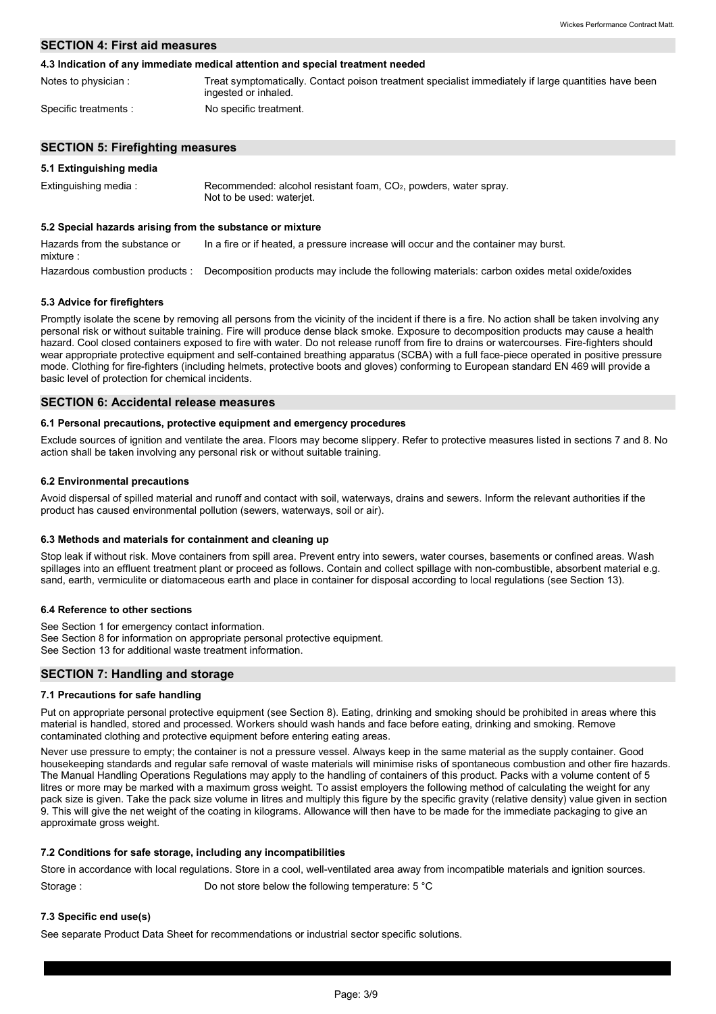# **SECTION 4: First aid measures**

#### **4.3 Indication of any immediate medical attention and special treatment needed**

| Notes to physician:  | Treat symptomatically. Contact poison treatment specialist immediately if large quantities have been<br>ingested or inhaled. |
|----------------------|------------------------------------------------------------------------------------------------------------------------------|
| Specific treatments: | No specific treatment.                                                                                                       |

### **SECTION 5: Firefighting measures**

# **5.1 Extinguishing media**

| Extinguishing media: | Recommended: alcohol resistant foam, CO <sub>2</sub> , powders, water spray.<br>Not to be used: wateriet. |
|----------------------|-----------------------------------------------------------------------------------------------------------|
|                      |                                                                                                           |

# **5.2 Special hazards arising from the substance or mixture**

Hazardous combustion products : Decomposition products may include the following materials: carbon oxides metal oxide/oxides Hazards from the substance or mixture : In a fire or if heated, a pressure increase will occur and the container may burst.

### **5.3 Advice for firefighters**

Promptly isolate the scene by removing all persons from the vicinity of the incident if there is a fire. No action shall be taken involving any personal risk or without suitable training. Fire will produce dense black smoke. Exposure to decomposition products may cause a health hazard. Cool closed containers exposed to fire with water. Do not release runoff from fire to drains or watercourses. Fire-fighters should wear appropriate protective equipment and self-contained breathing apparatus (SCBA) with a full face-piece operated in positive pressure mode. Clothing for fire-fighters (including helmets, protective boots and gloves) conforming to European standard EN 469 will provide a basic level of protection for chemical incidents.

# **SECTION 6: Accidental release measures**

## **6.1 Personal precautions, protective equipment and emergency procedures**

Exclude sources of ignition and ventilate the area. Floors may become slippery. Refer to protective measures listed in sections 7 and 8. No action shall be taken involving any personal risk or without suitable training.

### **6.2 Environmental precautions**

Avoid dispersal of spilled material and runoff and contact with soil, waterways, drains and sewers. Inform the relevant authorities if the product has caused environmental pollution (sewers, waterways, soil or air).

### **6.3 Methods and materials for containment and cleaning up**

Stop leak if without risk. Move containers from spill area. Prevent entry into sewers, water courses, basements or confined areas. Wash spillages into an effluent treatment plant or proceed as follows. Contain and collect spillage with non-combustible, absorbent material e.g. sand, earth, vermiculite or diatomaceous earth and place in container for disposal according to local regulations (see Section 13).

### **6.4 Reference to other sections**

See Section 1 for emergency contact information. See Section 8 for information on appropriate personal protective equipment. See Section 13 for additional waste treatment information.

### **SECTION 7: Handling and storage**

### **7.1 Precautions for safe handling**

Put on appropriate personal protective equipment (see Section 8). Eating, drinking and smoking should be prohibited in areas where this material is handled, stored and processed. Workers should wash hands and face before eating, drinking and smoking. Remove contaminated clothing and protective equipment before entering eating areas.

Never use pressure to empty; the container is not a pressure vessel. Always keep in the same material as the supply container. Good housekeeping standards and regular safe removal of waste materials will minimise risks of spontaneous combustion and other fire hazards. The Manual Handling Operations Regulations may apply to the handling of containers of this product. Packs with a volume content of 5 litres or more may be marked with a maximum gross weight. To assist employers the following method of calculating the weight for any pack size is given. Take the pack size volume in litres and multiply this figure by the specific gravity (relative density) value given in section 9. This will give the net weight of the coating in kilograms. Allowance will then have to be made for the immediate packaging to give an approximate gross weight.

### **7.2 Conditions for safe storage, including any incompatibilities**

Store in accordance with local regulations. Store in a cool, well-ventilated area away from incompatible materials and ignition sources. Storage : Do not store below the following temperature: 5 °C

### **7.3 Specific end use(s)**

See separate Product Data Sheet for recommendations or industrial sector specific solutions.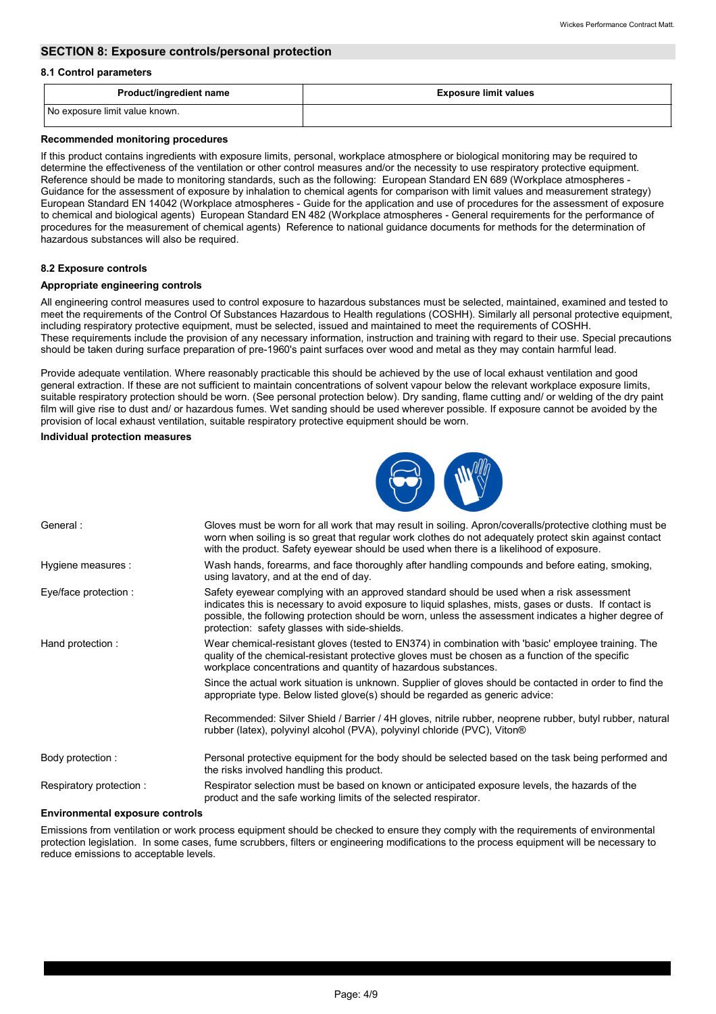# **SECTION 8: Exposure controls/personal protection**

#### **8.1 Control parameters**

| <b>Product/ingredient name</b> | <b>Exposure limit values</b> |
|--------------------------------|------------------------------|
| No exposure limit value known. |                              |

#### **Recommended monitoring procedures**

If this product contains ingredients with exposure limits, personal, workplace atmosphere or biological monitoring may be required to determine the effectiveness of the ventilation or other control measures and/or the necessity to use respiratory protective equipment. Reference should be made to monitoring standards, such as the following: European Standard EN 689 (Workplace atmospheres - Guidance for the assessment of exposure by inhalation to chemical agents for comparison with limit values and measurement strategy) European Standard EN 14042 (Workplace atmospheres - Guide for the application and use of procedures for the assessment of exposure to chemical and biological agents) European Standard EN 482 (Workplace atmospheres - General requirements for the performance of procedures for the measurement of chemical agents) Reference to national guidance documents for methods for the determination of hazardous substances will also be required.

### **8.2 Exposure controls**

### **Appropriate engineering controls**

All engineering control measures used to control exposure to hazardous substances must be selected, maintained, examined and tested to meet the requirements of the Control Of Substances Hazardous to Health regulations (COSHH). Similarly all personal protective equipment, including respiratory protective equipment, must be selected, issued and maintained to meet the requirements of COSHH. These requirements include the provision of any necessary information, instruction and training with regard to their use. Special precautions should be taken during surface preparation of pre-1960's paint surfaces over wood and metal as they may contain harmful lead.

Provide adequate ventilation. Where reasonably practicable this should be achieved by the use of local exhaust ventilation and good general extraction. If these are not sufficient to maintain concentrations of solvent vapour below the relevant workplace exposure limits, suitable respiratory protection should be worn. (See personal protection below). Dry sanding, flame cutting and/ or welding of the dry paint film will give rise to dust and/ or hazardous fumes. Wet sanding should be used wherever possible. If exposure cannot be avoided by the provision of local exhaust ventilation, suitable respiratory protective equipment should be worn.

#### **Individual protection measures**



| General:                | Gloves must be worn for all work that may result in soiling. Apron/coveralls/protective clothing must be<br>worn when soiling is so great that regular work clothes do not adequately protect skin against contact<br>with the product. Safety eyewear should be used when there is a likelihood of exposure.                                                |
|-------------------------|--------------------------------------------------------------------------------------------------------------------------------------------------------------------------------------------------------------------------------------------------------------------------------------------------------------------------------------------------------------|
| Hygiene measures :      | Wash hands, forearms, and face thoroughly after handling compounds and before eating, smoking,<br>using lavatory, and at the end of day.                                                                                                                                                                                                                     |
| Eye/face protection :   | Safety eyewear complying with an approved standard should be used when a risk assessment<br>indicates this is necessary to avoid exposure to liquid splashes, mists, gases or dusts. If contact is<br>possible, the following protection should be worn, unless the assessment indicates a higher degree of<br>protection: safety glasses with side-shields. |
| Hand protection :       | Wear chemical-resistant gloves (tested to EN374) in combination with 'basic' employee training. The<br>quality of the chemical-resistant protective gloves must be chosen as a function of the specific<br>workplace concentrations and quantity of hazardous substances.                                                                                    |
|                         | Since the actual work situation is unknown. Supplier of gloves should be contacted in order to find the<br>appropriate type. Below listed glove(s) should be regarded as generic advice:                                                                                                                                                                     |
|                         | Recommended: Silver Shield / Barrier / 4H gloves, nitrile rubber, neoprene rubber, butyl rubber, natural<br>rubber (latex), polyvinyl alcohol (PVA), polyvinyl chloride (PVC), Viton®                                                                                                                                                                        |
| Body protection :       | Personal protective equipment for the body should be selected based on the task being performed and<br>the risks involved handling this product.                                                                                                                                                                                                             |
| Respiratory protection: | Respirator selection must be based on known or anticipated exposure levels, the hazards of the<br>product and the safe working limits of the selected respirator.                                                                                                                                                                                            |

#### **Environmental exposure controls**

Emissions from ventilation or work process equipment should be checked to ensure they comply with the requirements of environmental protection legislation. In some cases, fume scrubbers, filters or engineering modifications to the process equipment will be necessary to reduce emissions to acceptable levels.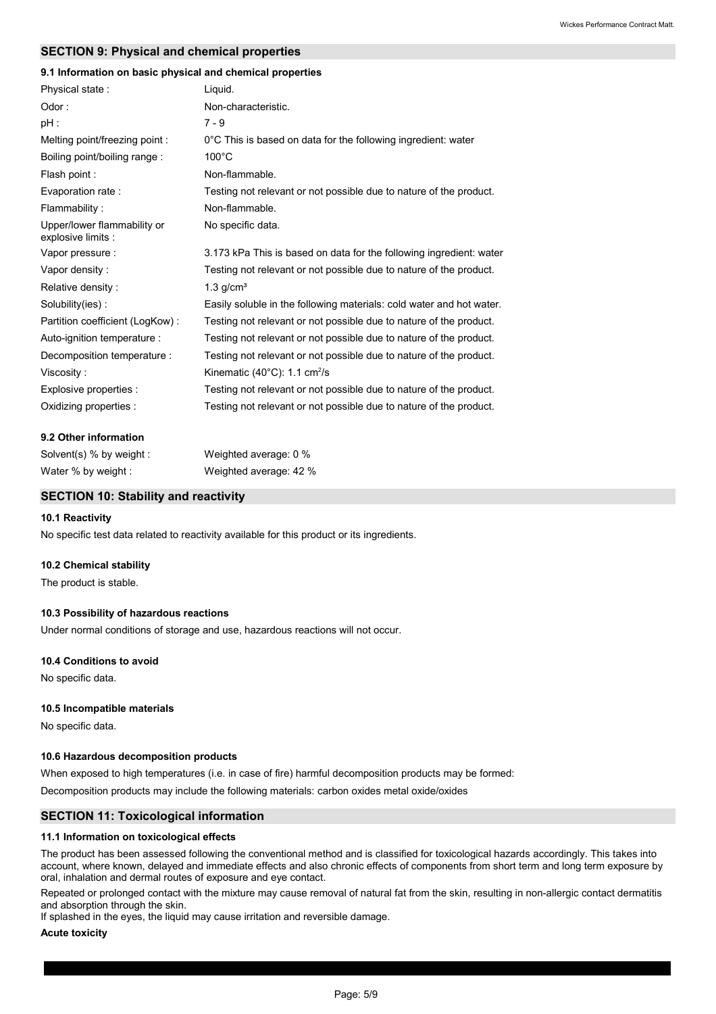## **SECTION 9: Physical and chemical properties**

# **9.1 Information on basic physical and chemical properties**

| Physical state:                                   | Liquid.                                                              |
|---------------------------------------------------|----------------------------------------------------------------------|
| Odor:                                             | Non-characteristic.                                                  |
| $pH$ :                                            | $7 - 9$                                                              |
| Melting point/freezing point:                     | 0°C This is based on data for the following ingredient: water        |
| Boiling point/boiling range:                      | $100^{\circ}$ C                                                      |
| Flash point:                                      | Non-flammable.                                                       |
| Evaporation rate:                                 | Testing not relevant or not possible due to nature of the product.   |
| Flammability:                                     | Non-flammable.                                                       |
| Upper/lower flammability or<br>explosive limits : | No specific data.                                                    |
| Vapor pressure :                                  | 3.173 kPa This is based on data for the following ingredient: water  |
| Vapor density:                                    | Testing not relevant or not possible due to nature of the product.   |
| Relative density:                                 | $1.3$ g/cm <sup>3</sup>                                              |
| Solubility(ies):                                  | Easily soluble in the following materials: cold water and hot water. |
| Partition coefficient (LogKow):                   | Testing not relevant or not possible due to nature of the product.   |
| Auto-ignition temperature :                       | Testing not relevant or not possible due to nature of the product.   |
| Decomposition temperature :                       | Testing not relevant or not possible due to nature of the product.   |
| Viscosity:                                        | Kinematic $(40^{\circ}$ C): 1.1 cm <sup>2</sup> /s                   |
| Explosive properties :                            | Testing not relevant or not possible due to nature of the product.   |
| Oxidizing properties :                            | Testing not relevant or not possible due to nature of the product.   |

#### **9.2 Other information**

| Solvent(s) $%$ by weight : | Weighted average: 0 %  |
|----------------------------|------------------------|
| Water % by weight :        | Weighted average: 42 % |

# **SECTION 10: Stability and reactivity**

#### **10.1 Reactivity**

No specific test data related to reactivity available for this product or its ingredients.

#### **10.2 Chemical stability**

The product is stable.

#### **10.3 Possibility of hazardous reactions**

Under normal conditions of storage and use, hazardous reactions will not occur.

#### **10.4 Conditions to avoid**

No specific data.

#### **10.5 Incompatible materials**

No specific data.

#### **10.6 Hazardous decomposition products**

When exposed to high temperatures (i.e. in case of fire) harmful decomposition products may be formed:

Decomposition products may include the following materials: carbon oxides metal oxide/oxides

### **SECTION 11: Toxicological information**

#### **11.1 Information on toxicological effects**

The product has been assessed following the conventional method and is classified for toxicological hazards accordingly. This takes into account, where known, delayed and immediate effects and also chronic effects of components from short term and long term exposure by oral, inhalation and dermal routes of exposure and eye contact.

Repeated or prolonged contact with the mixture may cause removal of natural fat from the skin, resulting in non-allergic contact dermatitis and absorption through the skin.

If splashed in the eyes, the liquid may cause irritation and reversible damage.

#### **Acute toxicity**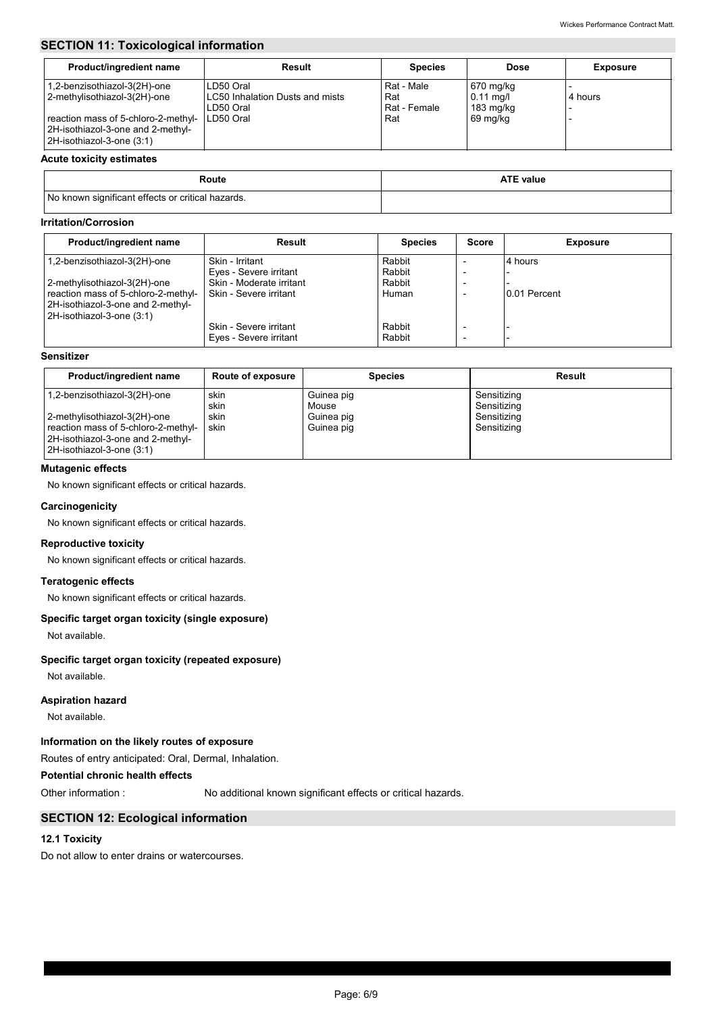# **SECTION 11: Toxicological information**

| Product/ingredient name                                                                                                                                               | Result                                                                        | <b>Species</b>                           | <b>Dose</b>                                                 | <b>Exposure</b> |
|-----------------------------------------------------------------------------------------------------------------------------------------------------------------------|-------------------------------------------------------------------------------|------------------------------------------|-------------------------------------------------------------|-----------------|
| 1,2-benzisothiazol-3(2H)-one<br>2-methylisothiazol-3(2H)-one<br>reaction mass of 5-chloro-2-methyl-<br>2H-isothiazol-3-one and 2-methyl-<br>2H-isothiazol-3-one (3:1) | LD50 Oral<br><b>LC50 Inhalation Dusts and mists</b><br>LD50 Oral<br>LD50 Oral | Rat - Male<br>Rat<br>Rat - Female<br>Rat | 670 mg/kg<br>$0.11$ mg/l<br>$183 \text{ mg/kg}$<br>69 mg/kg | 4 hours         |

#### **Acute toxicity estimates**

| Route                                             | <b>ATE value</b> |
|---------------------------------------------------|------------------|
| No known significant effects or critical hazards. |                  |

# **Irritation/Corrosion**

| Product/ingredient name             | Result                   | <b>Species</b> | <b>Score</b>             | <b>Exposure</b> |
|-------------------------------------|--------------------------|----------------|--------------------------|-----------------|
| 1,2-benzisothiazol-3(2H)-one        | Skin - Irritant          | Rabbit         |                          | 4 hours         |
|                                     | Eyes - Severe irritant   | Rabbit         |                          |                 |
| 2-methylisothiazol-3(2H)-one        | Skin - Moderate irritant | Rabbit         |                          |                 |
| reaction mass of 5-chloro-2-methyl- | Skin - Severe irritant   | Human          |                          | 0.01 Percent    |
| 2H-isothiazol-3-one and 2-methyl-   |                          |                |                          |                 |
| 2H-isothiazol-3-one (3:1)           |                          |                |                          |                 |
|                                     | Skin - Severe irritant   | Rabbit         |                          |                 |
|                                     | Eyes - Severe irritant   | Rabbit         | $\overline{\phantom{a}}$ |                 |

# **Sensitizer**

| Product/ingredient name                                                                                                                                               | <b>Route of exposure</b>     | <b>Species</b>                                  | Result                                                   |
|-----------------------------------------------------------------------------------------------------------------------------------------------------------------------|------------------------------|-------------------------------------------------|----------------------------------------------------------|
| 1,2-benzisothiazol-3(2H)-one<br>2-methylisothiazol-3(2H)-one<br>reaction mass of 5-chloro-2-methyl-<br>2H-isothiazol-3-one and 2-methyl-<br>2H-isothiazol-3-one (3:1) | skin<br>skin<br>skin<br>skin | Guinea pig<br>Mouse<br>Guinea pig<br>Guinea pig | Sensitizing<br>Sensitizing<br>Sensitizing<br>Sensitizing |

# **Mutagenic effects**

No known significant effects or critical hazards.

#### **Carcinogenicity**

No known significant effects or critical hazards.

# **Reproductive toxicity**

No known significant effects or critical hazards.

#### **Teratogenic effects**

No known significant effects or critical hazards.

### **Specific target organ toxicity (single exposure)**

Not available.

# **Specific target organ toxicity (repeated exposure)**

Not available.

## **Aspiration hazard**

Not available.

# **Information on the likely routes of exposure**

Routes of entry anticipated: Oral, Dermal, Inhalation.

# **Potential chronic health effects**

Other information :

No additional known significant effects or critical hazards.

# **SECTION 12: Ecological information**

# **12.1 Toxicity**

Do not allow to enter drains or watercourses.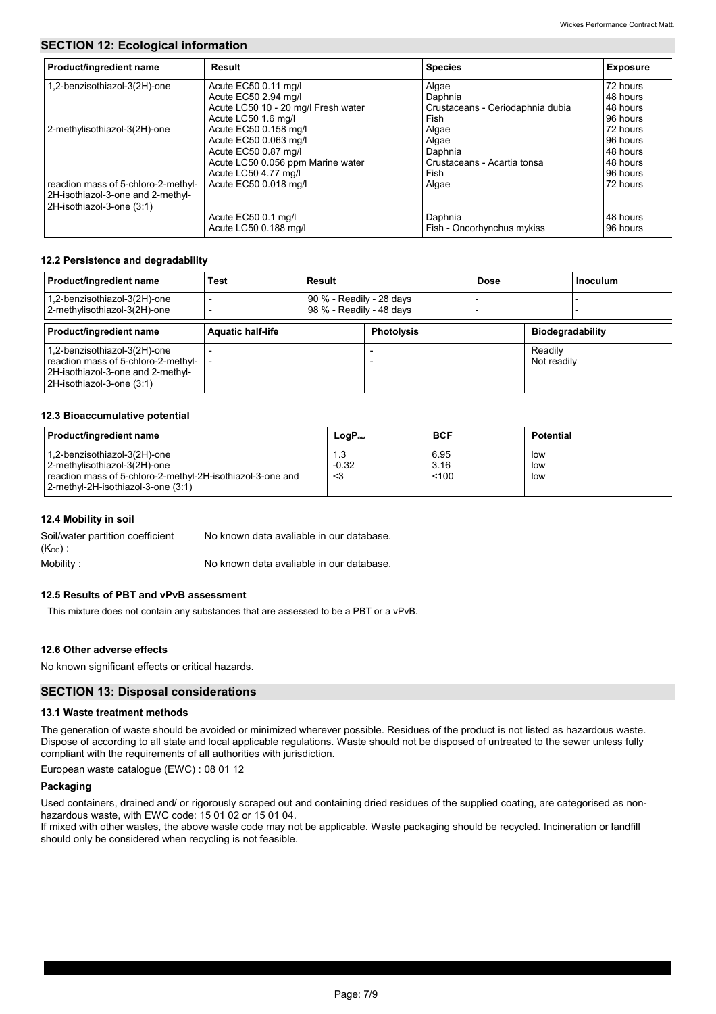# **SECTION 12: Ecological information**

| Product/ingredient name                                                                               | Result                              | <b>Species</b>                   | <b>Exposure</b> |
|-------------------------------------------------------------------------------------------------------|-------------------------------------|----------------------------------|-----------------|
| 1,2-benzisothiazol-3(2H)-one                                                                          | Acute EC50 0.11 mg/l                | Algae                            | 72 hours        |
|                                                                                                       | Acute EC50 2.94 mg/l                | Daphnia                          | 48 hours        |
|                                                                                                       | Acute LC50 10 - 20 mg/l Fresh water | Crustaceans - Ceriodaphnia dubia | 48 hours        |
|                                                                                                       | Acute LC50 1.6 mg/l                 | Fish                             | 96 hours        |
| 2-methylisothiazol-3(2H)-one                                                                          | Acute EC50 0.158 mg/l               | Algae                            | 72 hours        |
|                                                                                                       | Acute EC50 0.063 mg/l               | Algae                            | 96 hours        |
|                                                                                                       | Acute EC50 0.87 mg/l                | Daphnia                          | 48 hours        |
|                                                                                                       | Acute LC50 0.056 ppm Marine water   | Crustaceans - Acartia tonsa      | 48 hours        |
|                                                                                                       | Acute LC50 4.77 mg/l                | Fish                             | 96 hours        |
| reaction mass of 5-chloro-2-methyl-<br>2H-isothiazol-3-one and 2-methyl-<br>2H-isothiazol-3-one (3:1) | Acute EC50 0.018 mg/l               | Algae                            | 72 hours        |
|                                                                                                       | Acute EC50 0.1 mg/l                 | Daphnia                          | 48 hours        |
|                                                                                                       | Acute LC50 0.188 mg/l               | Fish - Oncorhynchus mykiss       | 96 hours        |

# **12.2 Persistence and degradability**

| Product/ingredient name                                                                                                               | Test                     | Result                                               |                   | Dose |                         | <b>Inoculum</b> |
|---------------------------------------------------------------------------------------------------------------------------------------|--------------------------|------------------------------------------------------|-------------------|------|-------------------------|-----------------|
| 1,2-benzisothiazol-3(2H)-one<br>2-methylisothiazol-3(2H)-one                                                                          |                          | 90 % - Readily - 28 days<br>98 % - Readily - 48 days |                   |      |                         |                 |
| Product/ingredient name                                                                                                               | <b>Aquatic half-life</b> |                                                      | <b>Photolysis</b> |      | <b>Biodegradability</b> |                 |
| 1,2-benzisothiazol-3(2H)-one<br>reaction mass of 5-chloro-2-methyl-<br>2H-isothiazol-3-one and 2-methyl-<br>2H-isothiazol-3-one (3:1) |                          |                                                      |                   |      | Readily<br>Not readily  |                 |

#### **12.3 Bioaccumulative potential**

| Product/ingredient name                                                                                                                                          | $LogP_{ow}$          | <b>BCF</b>            | <b>Potential</b>  |
|------------------------------------------------------------------------------------------------------------------------------------------------------------------|----------------------|-----------------------|-------------------|
| 1,2-benzisothiazol-3(2H)-one<br>2-methylisothiazol-3(2H)-one<br>reaction mass of 5-chloro-2-methyl-2H-isothiazol-3-one and<br>2-methyl-2H-isothiazol-3-one (3:1) | 1.3<br>$-0.32$<br><3 | 6.95<br>3.16<br>< 100 | low<br>low<br>low |

## **12.4 Mobility in soil**

Mobility : Soil/water partition coefficient  $(Koc)$ : No known data avaliable in our database. No known data avaliable in our database.

#### **12.5 Results of PBT and vPvB assessment**

This mixture does not contain any substances that are assessed to be a PBT or a vPvB.

### **12.6 Other adverse effects**

No known significant effects or critical hazards.

### **SECTION 13: Disposal considerations**

#### **13.1 Waste treatment methods**

The generation of waste should be avoided or minimized wherever possible. Residues of the product is not listed as hazardous waste. Dispose of according to all state and local applicable regulations. Waste should not be disposed of untreated to the sewer unless fully compliant with the requirements of all authorities with jurisdiction.

European waste catalogue (EWC) : 08 01 12

## **Packaging**

Used containers, drained and/ or rigorously scraped out and containing dried residues of the supplied coating, are categorised as nonhazardous waste, with EWC code: 15 01 02 or 15 01 04.

If mixed with other wastes, the above waste code may not be applicable. Waste packaging should be recycled. Incineration or landfill should only be considered when recycling is not feasible.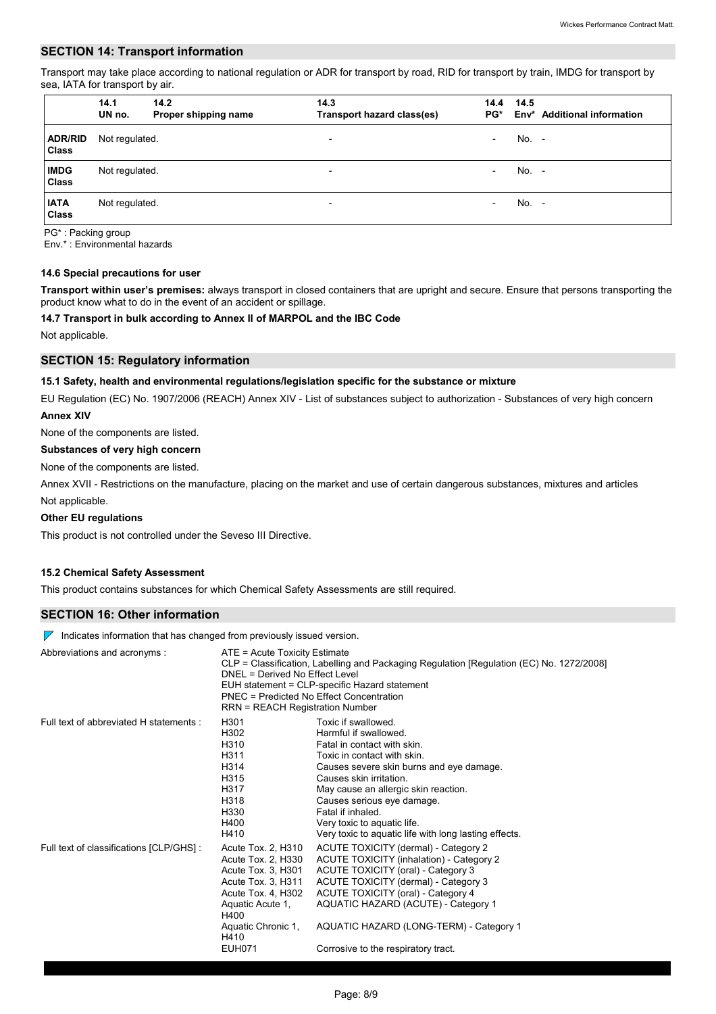#### **SECTION 14: Transport information**

Transport may take place according to national regulation or ADR for transport by road, RID for transport by train, IMDG for transport by sea, IATA for transport by air.

|                                | 14.1<br>UN no. | 14.2<br>Proper shipping name | 14.3<br>Transport hazard class(es) | 14.4<br>PG*              | 14.5  | Env* Additional information |
|--------------------------------|----------------|------------------------------|------------------------------------|--------------------------|-------|-----------------------------|
| <b>ADR/RID</b><br><b>Class</b> | Not regulated. |                              | ۰                                  | $\overline{\phantom{0}}$ | No. - |                             |
| <b>IMDG</b><br><b>Class</b>    | Not regulated. |                              | ۰                                  | $\overline{\phantom{0}}$ | No. - |                             |
| <b>IATA</b><br><b>Class</b>    | Not regulated. |                              | ۰                                  | $\overline{\phantom{a}}$ | No. - |                             |

PG\* : Packing group

Env.\* : Environmental hazards

#### **14.6 Special precautions for user**

**Transport within user's premises:** always transport in closed containers that are upright and secure. Ensure that persons transporting the product know what to do in the event of an accident or spillage.

#### **14.7 Transport in bulk according to Annex II of MARPOL and the IBC Code**

Not applicable.

# **SECTION 15: Regulatory information**

#### **15.1 Safety, health and environmental regulations/legislation specific for the substance or mixture**

EU Regulation (EC) No. 1907/2006 (REACH) Annex XIV - List of substances subject to authorization - Substances of very high concern **Annex XIV**

None of the components are listed.

#### **Substances of very high concern**

None of the components are listed.

Not applicable. Annex XVII - Restrictions on the manufacture, placing on the market and use of certain dangerous substances, mixtures and articles

#### **Other EU regulations**

This product is not controlled under the Seveso III Directive.

#### **15.2 Chemical Safety Assessment**

This product contains substances for which Chemical Safety Assessments are still required.

#### **SECTION 16: Other information**

 $\nabla$  Indicates information that has changed from previously issued version.

| Abbreviations and acronyms :             | ATE = Acute Toxicity Estimate<br>DNEL = Derived No Effect Level<br>PNEC = Predicted No Effect Concentration<br>RRN = REACH Registration Number                                        | CLP = Classification, Labelling and Packaging Regulation [Regulation (EC) No. 1272/2008]<br>EUH statement = CLP-specific Hazard statement                                                                                                                                                                                                                            |
|------------------------------------------|---------------------------------------------------------------------------------------------------------------------------------------------------------------------------------------|----------------------------------------------------------------------------------------------------------------------------------------------------------------------------------------------------------------------------------------------------------------------------------------------------------------------------------------------------------------------|
| Full text of abbreviated H statements :  | H301<br>H302<br>H310<br>H311<br>H314<br>H315<br>H317<br>H318<br>H330<br>H400<br>H410                                                                                                  | Toxic if swallowed.<br>Harmful if swallowed.<br>Fatal in contact with skin.<br>Toxic in contact with skin.<br>Causes severe skin burns and eye damage.<br>Causes skin irritation.<br>May cause an allergic skin reaction.<br>Causes serious eye damage.<br>Fatal if inhaled.<br>Very toxic to aquatic life.<br>Very toxic to aquatic life with long lasting effects. |
| Full text of classifications [CLP/GHS] : | Acute Tox. 2, H310<br>Acute Tox. 2, H330<br>Acute Tox. 3, H301<br>Acute Tox. 3, H311<br>Acute Tox. 4, H302<br>Aquatic Acute 1,<br>H400<br>Aquatic Chronic 1,<br>H410<br><b>EUH071</b> | ACUTE TOXICITY (dermal) - Category 2<br>ACUTE TOXICITY (inhalation) - Category 2<br>ACUTE TOXICITY (oral) - Category 3<br>ACUTE TOXICITY (dermal) - Category 3<br>ACUTE TOXICITY (oral) - Category 4<br>AQUATIC HAZARD (ACUTE) - Category 1<br>AQUATIC HAZARD (LONG-TERM) - Category 1<br>Corrosive to the respiratory tract.                                        |